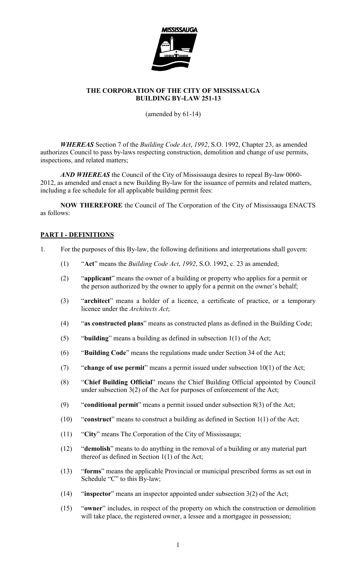

(amended by 61-14)

WHEREAS Section 7 of the Building Code Act, 1992, S.O. 1992, Chapter 23, as amended authorizes Council to pass by-laws respecting construction, demolition and change of use permits, inspections, and related matters;

AND WHEREAS the Council of the City of Mississauga desires to repeal By-law 0060-2012, as amended and enact a new Building By-law for the issuance of permits and related matters, including a fee schedule for all applicable building permit fees:

NOW THEREFORE the Council of The Corporation of the City of Mississauga ENACTS as follows:

# PART I - DEFINITIONS

- 1. For the purposes of this By-law, the following definitions and interpretations shall govern:
	- (1) "Act" means the Building Code Act, 1992, S.O. 1992, c. 23 as amended;
	- (2) "applicant" means the owner of a building or property who applies for a permit or the person authorized by the owner to apply for a permit on the owner's behalf;
	- (3) "architect" means a holder of a licence, a certificate of practice, or a temporary licence under the Architects Act;
	- (4) "as constructed plans" means as constructed plans as defined in the Building Code;
	- (5) "building" means a building as defined in subsection 1(1) of the Act;
	- (6) "Building Code" means the regulations made under Section 34 of the Act;
	- (7) "change of use permit" means a permit issued under subsection 10(1) of the Act;
	- (8) "Chief Building Official" means the Chief Building Official appointed by Council under subsection 3(2) of the Act for purposes of enforcement of the Act;
	- (9) "conditional permit" means a permit issued under subsection 8(3) of the Act;
	- (10) "construct" means to construct a building as defined in Section 1(1) of the Act;
	- (11) "City" means The Corporation of the City of Mississauga;
	- (12) "demolish" means to do anything in the removal of a building or any material part thereof as defined in Section 1(1) of the Act;
	- (13) "forms" means the applicable Provincial or municipal prescribed forms as set out in Schedule "C" to this By-law;
	- (14) "inspector" means an inspector appointed under subsection  $3(2)$  of the Act;
	- (15) "owner" includes, in respect of the property on which the construction or demolition will take place, the registered owner, a lessee and a mortgagee in possession;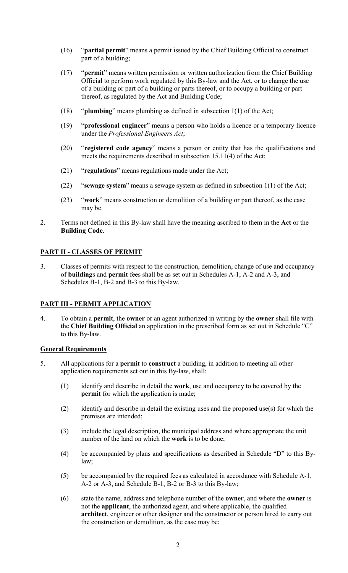- (16) "partial permit" means a permit issued by the Chief Building Official to construct part of a building;
- (17) "permit" means written permission or written authorization from the Chief Building Official to perform work regulated by this By-law and the Act, or to change the use of a building or part of a building or parts thereof, or to occupy a building or part thereof, as regulated by the Act and Building Code;
- (18) "plumbing" means plumbing as defined in subsection 1(1) of the Act;
- (19) "professional engineer" means a person who holds a licence or a temporary licence under the Professional Engineers Act;
- (20) "registered code agency" means a person or entity that has the qualifications and meets the requirements described in subsection 15.11(4) of the Act;
- (21) "regulations" means regulations made under the Act;
- (22) "sewage system" means a sewage system as defined in subsection 1(1) of the Act;
- (23) "work" means construction or demolition of a building or part thereof, as the case may be.
- 2. Terms not defined in this By-law shall have the meaning ascribed to them in the Act or the Building Code.

# PART II - CLASSES OF PERMIT

3. Classes of permits with respect to the construction, demolition, change of use and occupancy of buildings and permit fees shall be as set out in Schedules A-1, A-2 and A-3, and Schedules B-1, B-2 and B-3 to this By-law.

## PART III - PERMIT APPLICATION

4. To obtain a permit, the owner or an agent authorized in writing by the owner shall file with the Chief Building Official an application in the prescribed form as set out in Schedule "C" to this By-law.

## General Requirements

- 5. All applications for a permit to construct a building, in addition to meeting all other application requirements set out in this By-law, shall:
	- (1) identify and describe in detail the work, use and occupancy to be covered by the permit for which the application is made;
	- (2) identify and describe in detail the existing uses and the proposed use(s) for which the premises are intended;
	- (3) include the legal description, the municipal address and where appropriate the unit number of the land on which the work is to be done;
	- (4) be accompanied by plans and specifications as described in Schedule "D" to this Bylaw;
	- (5) be accompanied by the required fees as calculated in accordance with Schedule A-1, A-2 or A-3, and Schedule B-1, B-2 or B-3 to this By-law;
	- (6) state the name, address and telephone number of the owner, and where the owner is not the applicant, the authorized agent, and where applicable, the qualified architect, engineer or other designer and the constructor or person hired to carry out the construction or demolition, as the case may be;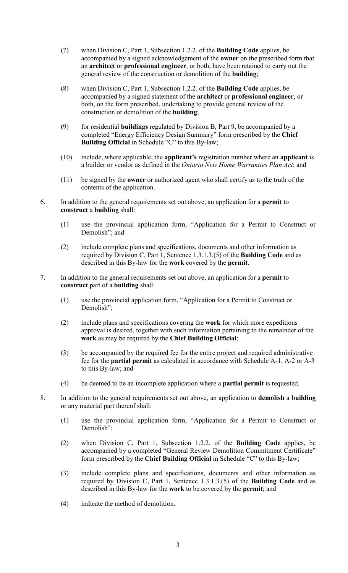- (7) when Division C, Part 1, Subsection 1.2.2. of the Building Code applies, be accompanied by a signed acknowledgement of the owner on the prescribed form that an architect or professional engineer, or both, have been retained to carry out the general review of the construction or demolition of the building;
- (8) when Division C, Part 1, Subsection 1.2.2. of the Building Code applies, be accompanied by a signed statement of the architect or professional engineer, or both, on the form prescribed, undertaking to provide general review of the construction or demolition of the building;
- (9) for residential buildings regulated by Division B, Part 9, be accompanied by a completed "Energy Efficiency Design Summary" form prescribed by the Chief Building Official in Schedule "C" to this By-law;
- (10) include, where applicable, the applicant's registration number where an applicant is a builder or vendor as defined in the Ontario New Home Warranties Plan Act; and
- (11) be signed by the owner or authorized agent who shall certify as to the truth of the contents of the application.
- 6. In addition to the general requirements set out above, an application for a permit to construct a building shall:
	- (1) use the provincial application form, "Application for a Permit to Construct or Demolish"; and
	- (2) include complete plans and specifications, documents and other information as required by Division C, Part 1, Sentence 1.3.1.3.(5) of the Building Code and as described in this By-law for the work covered by the permit.
- 7. In addition to the general requirements set out above, an application for a permit to construct part of a building shall:
	- (1) use the provincial application form, "Application for a Permit to Construct or Demolish";
	- (2) include plans and specifications covering the work for which more expeditious approval is desired, together with such information pertaining to the remainder of the work as may be required by the Chief Building Official;
	- (3) be accompanied by the required fee for the entire project and required administrative fee for the partial permit as calculated in accordance with Schedule A-1, A-2 or A-3 to this By-law; and
	- (4) be deemed to be an incomplete application where a partial permit is requested.
- 8. In addition to the general requirements set out above, an application to **demolish** a **building** or any material part thereof shall:
	- (1) use the provincial application form, "Application for a Permit to Construct or Demolish";
	- (2) when Division C, Part 1, Subsection 1.2.2. of the Building Code applies, be accompanied by a completed "General Review Demolition Commitment Certificate" form prescribed by the Chief Building Official in Schedule "C" to this By-law;
	- (3) include complete plans and specifications, documents and other information as required by Division C, Part 1, Sentence  $1.3.1.3(5)$  of the **Building Code** and as described in this By-law for the work to be covered by the permit; and
	- (4) indicate the method of demolition.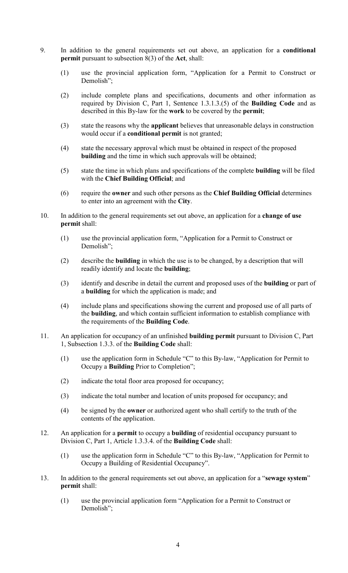- 9. In addition to the general requirements set out above, an application for a conditional permit pursuant to subsection 8(3) of the Act, shall:
	- (1) use the provincial application form, "Application for a Permit to Construct or Demolish";
	- (2) include complete plans and specifications, documents and other information as required by Division C, Part 1, Sentence 1.3.1.3.(5) of the Building Code and as described in this By-law for the work to be covered by the permit;
	- (3) state the reasons why the applicant believes that unreasonable delays in construction would occur if a conditional permit is not granted;
	- (4) state the necessary approval which must be obtained in respect of the proposed building and the time in which such approvals will be obtained;
	- (5) state the time in which plans and specifications of the complete building will be filed with the Chief Building Official; and
	- (6) require the owner and such other persons as the Chief Building Official determines to enter into an agreement with the City.
- 10. In addition to the general requirements set out above, an application for a **change of use** permit shall:
	- (1) use the provincial application form, "Application for a Permit to Construct or Demolish";
	- (2) describe the building in which the use is to be changed, by a description that will readily identify and locate the building;
	- (3) identify and describe in detail the current and proposed uses of the building or part of a building for which the application is made; and
	- (4) include plans and specifications showing the current and proposed use of all parts of the building, and which contain sufficient information to establish compliance with the requirements of the Building Code.
- 11. An application for occupancy of an unfinished **building permit** pursuant to Division C, Part 1, Subsection 1.3.3. of the Building Code shall:
	- (1) use the application form in Schedule "C" to this By-law, "Application for Permit to Occupy a Building Prior to Completion";
	- (2) indicate the total floor area proposed for occupancy;
	- (3) indicate the total number and location of units proposed for occupancy; and
	- (4) be signed by the owner or authorized agent who shall certify to the truth of the contents of the application.
- 12. An application for a **permit** to occupy a **building** of residential occupancy pursuant to Division C, Part 1, Article 1.3.3.4. of the Building Code shall:
	- (1) use the application form in Schedule "C" to this By-law, "Application for Permit to Occupy a Building of Residential Occupancy".
- 13. In addition to the general requirements set out above, an application for a "sewage system" permit shall:
	- (1) use the provincial application form "Application for a Permit to Construct or Demolish";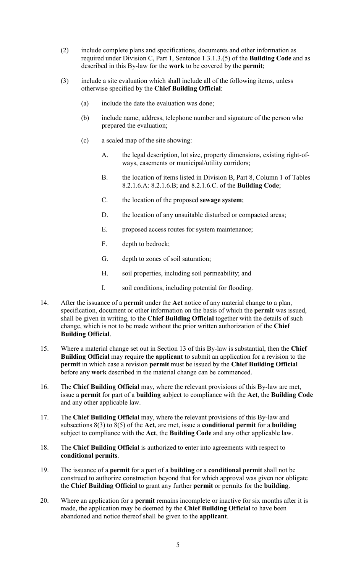- (2) include complete plans and specifications, documents and other information as required under Division C, Part 1, Sentence 1.3.1.3.(5) of the Building Code and as described in this By-law for the work to be covered by the permit;
- (3) include a site evaluation which shall include all of the following items, unless otherwise specified by the Chief Building Official:
	- (a) include the date the evaluation was done;
	- (b) include name, address, telephone number and signature of the person who prepared the evaluation;
	- (c) a scaled map of the site showing:
		- A. the legal description, lot size, property dimensions, existing right-ofways, easements or municipal/utility corridors;
		- B. the location of items listed in Division B, Part 8, Column 1 of Tables 8.2.1.6.A: 8.2.1.6.B; and 8.2.1.6.C. of the Building Code;
		- C. the location of the proposed sewage system;
		- D. the location of any unsuitable disturbed or compacted areas;
		- E. proposed access routes for system maintenance;
		- F. depth to bedrock;
		- G. depth to zones of soil saturation;
		- H. soil properties, including soil permeability; and
		- I. soil conditions, including potential for flooding.
- 14. After the issuance of a **permit** under the **Act** notice of any material change to a plan, specification, document or other information on the basis of which the permit was issued, shall be given in writing, to the Chief Building Official together with the details of such change, which is not to be made without the prior written authorization of the Chief Building Official.
- 15. Where a material change set out in Section 13 of this By-law is substantial, then the Chief Building Official may require the applicant to submit an application for a revision to the permit in which case a revision permit must be issued by the Chief Building Official before any work described in the material change can be commenced.
- 16. The Chief Building Official may, where the relevant provisions of this By-law are met, issue a permit for part of a building subject to compliance with the Act, the Building Code and any other applicable law.
- 17. The Chief Building Official may, where the relevant provisions of this By-law and subsections  $8(3)$  to  $8(5)$  of the Act, are met, issue a **conditional permit** for a **building** subject to compliance with the Act, the Building Code and any other applicable law.
- 18. The Chief Building Official is authorized to enter into agreements with respect to conditional permits.
- 19. The issuance of a permit for a part of a building or a conditional permit shall not be construed to authorize construction beyond that for which approval was given nor obligate the Chief Building Official to grant any further permit or permits for the building.
- 20. Where an application for a **permit** remains incomplete or inactive for six months after it is made, the application may be deemed by the Chief Building Official to have been abandoned and notice thereof shall be given to the applicant.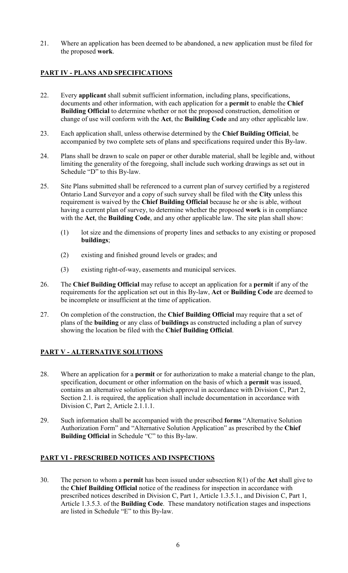21. Where an application has been deemed to be abandoned, a new application must be filed for the proposed work.

# PART IV - PLANS AND SPECIFICATIONS

- 22. Every applicant shall submit sufficient information, including plans, specifications, documents and other information, with each application for a **permit** to enable the Chief Building Official to determine whether or not the proposed construction, demolition or change of use will conform with the Act, the Building Code and any other applicable law.
- 23. Each application shall, unless otherwise determined by the Chief Building Official, be accompanied by two complete sets of plans and specifications required under this By-law.
- 24. Plans shall be drawn to scale on paper or other durable material, shall be legible and, without limiting the generality of the foregoing, shall include such working drawings as set out in Schedule "D" to this By-law.
- 25. Site Plans submitted shall be referenced to a current plan of survey certified by a registered Ontario Land Surveyor and a copy of such survey shall be filed with the City unless this requirement is waived by the Chief Building Official because he or she is able, without having a current plan of survey, to determine whether the proposed work is in compliance with the Act, the Building Code, and any other applicable law. The site plan shall show:
	- (1) lot size and the dimensions of property lines and setbacks to any existing or proposed buildings;
	- (2) existing and finished ground levels or grades; and
	- (3) existing right-of-way, easements and municipal services.
- 26. The Chief Building Official may refuse to accept an application for a permit if any of the requirements for the application set out in this By-law, Act or Building Code are deemed to be incomplete or insufficient at the time of application.
- 27. On completion of the construction, the Chief Building Official may require that a set of plans of the building or any class of buildings as constructed including a plan of survey showing the location be filed with the Chief Building Official.

## PART V - ALTERNATIVE SOLUTIONS

- 28. Where an application for a permit or for authorization to make a material change to the plan, specification, document or other information on the basis of which a permit was issued, contains an alternative solution for which approval in accordance with Division C, Part 2, Section 2.1. is required, the application shall include documentation in accordance with Division C, Part 2, Article 2.1.1.1.
- 29. Such information shall be accompanied with the prescribed forms "Alternative Solution Authorization Form" and "Alternative Solution Application" as prescribed by the Chief Building Official in Schedule "C" to this By-law.

## PART VI - PRESCRIBED NOTICES AND INSPECTIONS

30. The person to whom a **permit** has been issued under subsection  $8(1)$  of the Act shall give to the Chief Building Official notice of the readiness for inspection in accordance with prescribed notices described in Division C, Part 1, Article 1.3.5.1., and Division C, Part 1, Article 1.3.5.3. of the Building Code. These mandatory notification stages and inspections are listed in Schedule "E" to this By-law.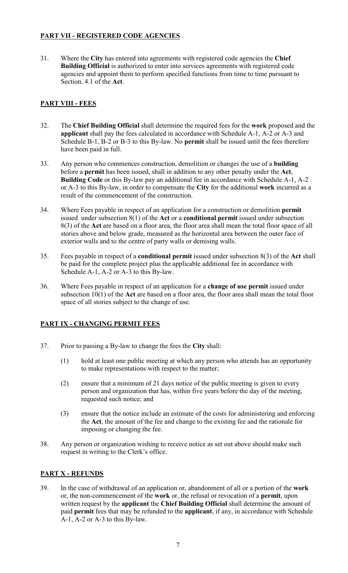# PART VII - REGISTERED CODE AGENCIES

31. Where the City has entered into agreements with registered code agencies the Chief Building Official is authorized to enter into services agreements with registered code agencies and appoint them to perform specified functions from time to time pursuant to Section. 4.1 of the Act.

# PART VIII - FEES

- 32. The Chief Building Official shall determine the required fees for the work proposed and the applicant shall pay the fees calculated in accordance with Schedule A-1, A-2 or A-3 and Schedule B-1, B-2 or B-3 to this By-law. No permit shall be issued until the fees therefore have been paid in full.
- 33. Any person who commences construction, demolition or changes the use of a building before a permit has been issued, shall in addition to any other penalty under the Act, Building Code or this By-law pay an additional fee in accordance with Schedule A-1, A-2 or A-3 to this By-law, in order to compensate the City for the additional work incurred as a result of the commencement of the construction.
- 34. Where Fees payable in respect of an application for a construction or demolition permit issued under subsection 8(1) of the Act or a conditional permit issued under subsection 8(3) of the Act are based on a floor area, the floor area shall mean the total floor space of all stories above and below grade, measured as the horizontal area between the outer face of exterior walls and to the centre of party walls or demising walls.
- 35. Fees payable in respect of a conditional permit issued under subsection 8(3) of the Act shall be paid for the complete project plus the applicable additional fee in accordance with Schedule A-1, A-2 or A-3 to this By-law.
- 36. Where Fees payable in respect of an application for a change of use permit issued under subsection 10(1) of the Act are based on a floor area, the floor area shall mean the total floor space of all stories subject to the change of use.

# PART IX - CHANGING PERMIT FEES

- 37. Prior to passing a By-law to change the fees the City shall:
	- (1) hold at least one public meeting at which any person who attends has an opportunity to make representations with respect to the matter;
	- (2) ensure that a minimum of 21 days notice of the public meeting is given to every person and organization that has, within five years before the day of the meeting, requested such notice; and
	- (3) ensure that the notice include an estimate of the costs for administering and enforcing the Act, the amount of the fee and change to the existing fee and the rationale for imposing or changing the fee.
- 38. Any person or organization wishing to receive notice as set out above should make such request in writing to the Clerk's office.

# PART X - REFUNDS

39. In the case of withdrawal of an application or, abandonment of all or a portion of the work or, the non-commencement of the work or, the refusal or revocation of a permit, upon written request by the applicant the Chief Building Official shall determine the amount of paid permit fees that may be refunded to the applicant, if any, in accordance with Schedule A-1, A-2 or A-3 to this By-law.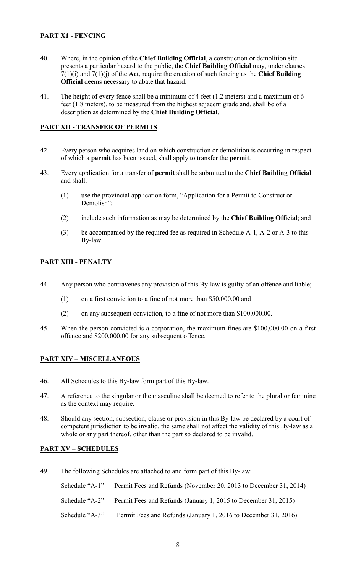# PART X1 - FENCING

- 40. Where, in the opinion of the Chief Building Official, a construction or demolition site presents a particular hazard to the public, the Chief Building Official may, under clauses  $7(1)(i)$  and  $7(1)(j)$  of the Act, require the erection of such fencing as the Chief Building Official deems necessary to abate that hazard.
- 41. The height of every fence shall be a minimum of 4 feet (1.2 meters) and a maximum of 6 feet (1.8 meters), to be measured from the highest adjacent grade and, shall be of a description as determined by the Chief Building Official.

## PART XII - TRANSFER OF PERMITS

- 42. Every person who acquires land on which construction or demolition is occurring in respect of which a permit has been issued, shall apply to transfer the permit.
- 43. Every application for a transfer of permit shall be submitted to the Chief Building Official and shall:
	- (1) use the provincial application form, "Application for a Permit to Construct or Demolish";
	- (2) include such information as may be determined by the Chief Building Official; and
	- (3) be accompanied by the required fee as required in Schedule A-1, A-2 or A-3 to this By-law.

## PART XIII - PENALTY

- 44. Any person who contravenes any provision of this By-law is guilty of an offence and liable;
	- (1) on a first conviction to a fine of not more than \$50,000.00 and
	- (2) on any subsequent conviction, to a fine of not more than \$100,000.00.
- 45. When the person convicted is a corporation, the maximum fines are \$100,000.00 on a first offence and \$200,000.00 for any subsequent offence.

## PART XIV – MISCELLANEOUS

- 46. All Schedules to this By-law form part of this By-law.
- 47. A reference to the singular or the masculine shall be deemed to refer to the plural or feminine as the context may require.
- 48. Should any section, subsection, clause or provision in this By-law be declared by a court of competent jurisdiction to be invalid, the same shall not affect the validity of this By-law as a whole or any part thereof, other than the part so declared to be invalid.

## PART XV – SCHEDULES

49. The following Schedules are attached to and form part of this By-law:

Schedule "A-1" Permit Fees and Refunds (November 20, 2013 to December 31, 2014) Schedule "A-2" Permit Fees and Refunds (January 1, 2015 to December 31, 2015) Schedule "A-3" Permit Fees and Refunds (January 1, 2016 to December 31, 2016)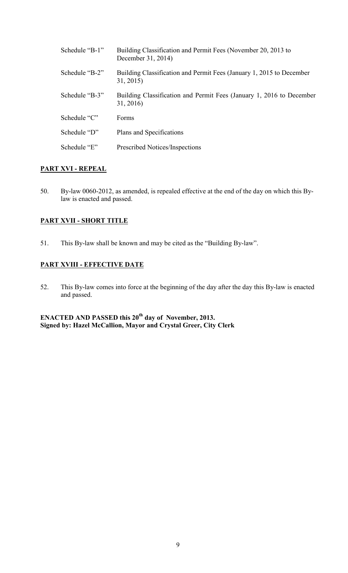| Schedule "B-1" | Building Classification and Permit Fees (November 20, 2013 to<br>December 31, 2014) |
|----------------|-------------------------------------------------------------------------------------|
| Schedule "B-2" | Building Classification and Permit Fees (January 1, 2015 to December<br>31, 2015)   |
| Schedule "B-3" | Building Classification and Permit Fees (January 1, 2016 to December<br>31, 2016)   |
| Schedule "C"   | Forms                                                                               |
| Schedule "D"   | Plans and Specifications                                                            |
| Schedule "E"   | Prescribed Notices/Inspections                                                      |

## PART XVI - REPEAL

50. By-law 0060-2012, as amended, is repealed effective at the end of the day on which this Bylaw is enacted and passed.

# PART XVII - SHORT TITLE

51. This By-law shall be known and may be cited as the "Building By-law".

# PART XVIII - EFFECTIVE DATE

52. This By-law comes into force at the beginning of the day after the day this By-law is enacted and passed.

ENACTED AND PASSED this  $20<sup>th</sup>$  day of November, 2013. Signed by: Hazel McCallion, Mayor and Crystal Greer, City Clerk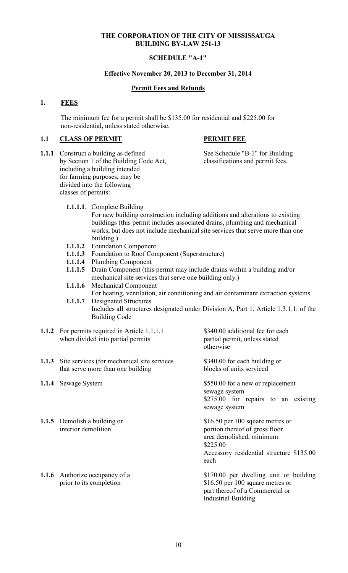## SCHEDULE "A-1"

## Effective November 20, 2013 to December 31, 2014

## Permit Fees and Refunds

## 1. FEES

The minimum fee for a permit shall be \$135.00 for residential and \$225.00 for non-residential, unless stated otherwise.

## 1.1 CLASS OF PERMIT PERMIT FEE

1.1.1 Construct a building as defined See Schedule "B-1" for Building by Section 1 of the Building Code Act, classifications and permit fees. including a building intended for farming purposes, may be divided into the following classes of permits:

1.1.1.1. Complete Building

 For new building construction including additions and alterations to existing buildings (this permit includes associated drains, plumbing and mechanical works, but does not include mechanical site services that serve more than one building.)

- 1.1.1.2 Foundation Component
- 1.1.1.3 Foundation to Roof Component (Superstructure)
- 1.1.1.4 Plumbing Component
- 1.1.1.5 Drain Component (this permit may include drains within a building and/or mechanical site services that serve one building only.)
- 1.1.1.6 Mechanical Component For heating, ventilation, air conditioning and air contaminant extraction systems 1.1.1.7 Designated Structures
- Includes all structures designated under Division A, Part 1, Article 1.3.1.1. of the Building Code
- 1.1.2 For permits required in Article 1.1.1.1 \$340.00 additional fee for each when divided into partial permits partial permit, unless stated
- 1.1.3 Site services (for mechanical site services \$340.00 for each building or that serve more than one building blocks of units serviced that serve more than one building
- 
- 1.1.5 Demolish a building or \$16.50 per 100 square metres or
- 

otherwise

**1.1.4** Sewage System \$550.00 for a new or replacement sewage system \$275.00 for repairs to an existing sewage system

interior demolition portion thereof of gross floor area demolished, minimum \$225.00 Accessory residential structure \$135.00 each

1.1.6 Authorize occupancy of a \$170.00 per dwelling unit or building prior to its completion \$16.50 per 100 square metres or part thereof of a Commercial or Industrial Building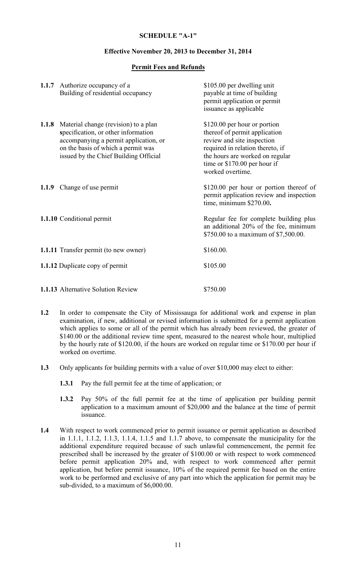### Effective November 20, 2013 to December 31, 2014

## Permit Fees and Refunds

|       | 1.1.7 Authorize occupancy of a<br>Building of residential occupancy                                                                                                                                 | \$105.00 per dwelling unit<br>payable at time of building<br>permit application or permit<br>issuance as applicable                                                                                                    |
|-------|-----------------------------------------------------------------------------------------------------------------------------------------------------------------------------------------------------|------------------------------------------------------------------------------------------------------------------------------------------------------------------------------------------------------------------------|
| 1.1.8 | Material change (revision) to a plan<br>specification, or other information<br>accompanying a permit application, or<br>on the basis of which a permit was<br>issued by the Chief Building Official | \$120.00 per hour or portion<br>thereof of permit application<br>review and site inspection<br>required in relation thereto, if<br>the hours are worked on regular<br>time or \$170.00 per hour if<br>worked overtime. |
|       | 1.1.9 Change of use permit                                                                                                                                                                          | \$120.00 per hour or portion thereof of<br>permit application review and inspection<br>time, minimum \$270.00.                                                                                                         |
|       | 1.1.10 Conditional permit                                                                                                                                                                           | Regular fee for complete building plus<br>an additional 20% of the fee, minimum<br>\$750.00 to a maximum of \$7,500.00.                                                                                                |
|       | <b>1.1.11</b> Transfer permit (to new owner)                                                                                                                                                        | \$160.00.                                                                                                                                                                                                              |
|       | <b>1.1.12</b> Duplicate copy of permit                                                                                                                                                              | \$105.00                                                                                                                                                                                                               |
|       | <b>1.1.13</b> Alternative Solution Review                                                                                                                                                           | \$750.00                                                                                                                                                                                                               |

- 1.2 In order to compensate the City of Mississauga for additional work and expense in plan examination, if new, additional or revised information is submitted for a permit application which applies to some or all of the permit which has already been reviewed, the greater of \$140.00 or the additional review time spent, measured to the nearest whole hour, multiplied by the hourly rate of \$120.00, if the hours are worked on regular time or \$170.00 per hour if worked on overtime.
- 1.3 Only applicants for building permits with a value of over \$10,000 may elect to either:
	- 1.3.1 Pay the full permit fee at the time of application; or
	- 1.3.2 Pay 50% of the full permit fee at the time of application per building permit application to a maximum amount of \$20,000 and the balance at the time of permit issuance.
- 1.4 With respect to work commenced prior to permit issuance or permit application as described in 1.1.1, 1.1.2, 1.1.3, 1.1.4, 1.1.5 and 1.1.7 above, to compensate the municipality for the additional expenditure required because of such unlawful commencement, the permit fee prescribed shall be increased by the greater of \$100.00 or with respect to work commenced before permit application 20% and, with respect to work commenced after permit application, but before permit issuance, 10% of the required permit fee based on the entire work to be performed and exclusive of any part into which the application for permit may be sub-divided, to a maximum of \$6,000.00.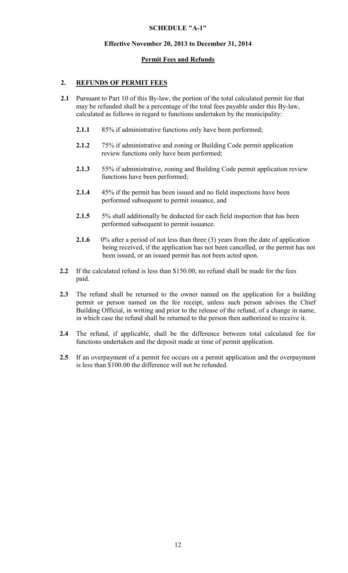## Effective November 20, 2013 to December 31, 2014

## Permit Fees and Refunds

# 2. REFUNDS OF PERMIT FEES

- 2.1 Pursuant to Part 10 of this By-law, the portion of the total calculated permit fee that may be refunded shall be a percentage of the total fees payable under this By-law, calculated as follows in regard to functions undertaken by the municipality:
	- 2.1.1 85% if administrative functions only have been performed;
	- 2.1.2 75% if administrative and zoning or Building Code permit application review functions only have been performed;
	- 2.1.3 55% if administrative, zoning and Building Code permit application review functions have been performed;
	- 2.1.4 45% if the permit has been issued and no field inspections have been performed subsequent to permit issuance, and
	- 2.1.5 5% shall additionally be deducted for each field inspection that has been performed subsequent to permit issuance.
	- 2.1.6 0% after a period of not less than three (3) years from the date of application being received, if the application has not been cancelled, or the permit has not been issued, or an issued permit has not been acted upon.
- 2.2 If the calculated refund is less than \$150.00, no refund shall be made for the fees paid.
- 2.3 The refund shall be returned to the owner named on the application for a building permit or person named on the fee receipt, unless such person advises the Chief Building Official, in writing and prior to the release of the refund, of a change in name, in which case the refund shall be returned to the person then authorized to receive it.
- 2.4 The refund, if applicable, shall be the difference between total calculated fee for functions undertaken and the deposit made at time of permit application.
- 2.5 If an overpayment of a permit fee occurs on a permit application and the overpayment is less than \$100.00 the difference will not be refunded.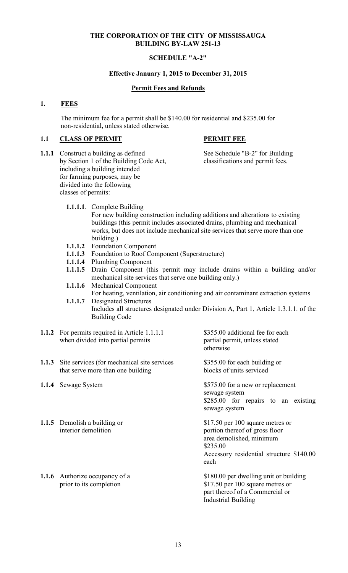## SCHEDULE "A-2"

## Effective January 1, 2015 to December 31, 2015

## Permit Fees and Refunds

## 1. FEES

The minimum fee for a permit shall be \$140.00 for residential and \$235.00 for non-residential, unless stated otherwise.

## 1.1 CLASS OF PERMIT PERMIT FEE

1.1.1 Construct a building as defined See Schedule "B-2" for Building by Section 1 of the Building Code Act, classifications and permit fees. including a building intended for farming purposes, may be divided into the following classes of permits:

1.1.1.1. Complete Building

 For new building construction including additions and alterations to existing buildings (this permit includes associated drains, plumbing and mechanical works, but does not include mechanical site services that serve more than one building.)

- 1.1.1.2 Foundation Component
- 1.1.1.3 Foundation to Roof Component (Superstructure)
- 1.1.1.4 Plumbing Component
- 1.1.1.5 Drain Component (this permit may include drains within a building and/or mechanical site services that serve one building only.)
- 1.1.1.6 Mechanical Component For heating, ventilation, air conditioning and air contaminant extraction systems 1.1.1.7 Designated Structures
- Includes all structures designated under Division A, Part 1, Article 1.3.1.1. of the Building Code
- 1.1.2 For permits required in Article 1.1.1.1 \$355.00 additional fee for each when divided into partial permits partial permit, unless stated
- 1.1.3 Site services (for mechanical site services \$355.00 for each building or that serve more than one building blocks of units serviced
- 
- 1.1.5 Demolish a building or \$17.50 per 100 square metres or
- 

otherwise

**1.1.4** Sewage System \$575.00 for a new or replacement sewage system \$285.00 for repairs to an existing sewage system

interior demolition portion thereof of gross floor area demolished, minimum \$235.00 Accessory residential structure \$140.00 each

1.1.6 Authorize occupancy of a \$180.00 per dwelling unit or building prior to its completion \$17.50 per 100 square metres or part thereof of a Commercial or Industrial Building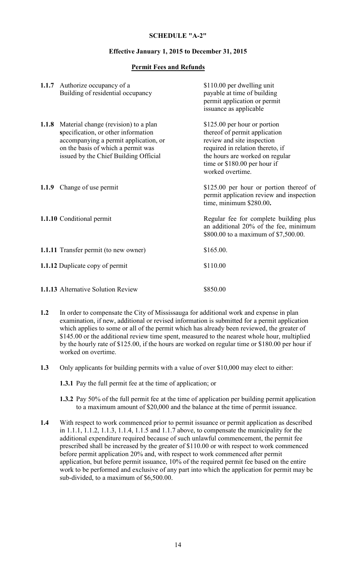## SCHEDULE "A-2"

### Effective January 1, 2015 to December 31, 2015

## Permit Fees and Refunds

|       | 1.1.7 Authorize occupancy of a<br>Building of residential occupancy                                                                                                                                 | \$110.00 per dwelling unit<br>payable at time of building<br>permit application or permit<br>issuance as applicable                                                                                                    |
|-------|-----------------------------------------------------------------------------------------------------------------------------------------------------------------------------------------------------|------------------------------------------------------------------------------------------------------------------------------------------------------------------------------------------------------------------------|
| 1.1.8 | Material change (revision) to a plan<br>specification, or other information<br>accompanying a permit application, or<br>on the basis of which a permit was<br>issued by the Chief Building Official | \$125.00 per hour or portion<br>thereof of permit application<br>review and site inspection<br>required in relation thereto, if<br>the hours are worked on regular<br>time or \$180.00 per hour if<br>worked overtime. |
|       | 1.1.9 Change of use permit                                                                                                                                                                          | \$125.00 per hour or portion thereof of<br>permit application review and inspection<br>time, minimum \$280.00.                                                                                                         |
|       | 1.1.10 Conditional permit                                                                                                                                                                           | Regular fee for complete building plus<br>an additional 20% of the fee, minimum<br>\$800.00 to a maximum of \$7,500.00.                                                                                                |
|       | <b>1.1.11</b> Transfer permit (to new owner)                                                                                                                                                        | \$165.00.                                                                                                                                                                                                              |
|       | <b>1.1.12</b> Duplicate copy of permit                                                                                                                                                              | \$110.00                                                                                                                                                                                                               |
|       | <b>1.1.13</b> Alternative Solution Review                                                                                                                                                           | \$850.00                                                                                                                                                                                                               |

- 1.2 In order to compensate the City of Mississauga for additional work and expense in plan examination, if new, additional or revised information is submitted for a permit application which applies to some or all of the permit which has already been reviewed, the greater of \$145.00 or the additional review time spent, measured to the nearest whole hour, multiplied by the hourly rate of \$125.00, if the hours are worked on regular time or \$180.00 per hour if worked on overtime.
- 1.3 Only applicants for building permits with a value of over \$10,000 may elect to either:

1.3.1 Pay the full permit fee at the time of application; or

- 1.3.2 Pay 50% of the full permit fee at the time of application per building permit application to a maximum amount of \$20,000 and the balance at the time of permit issuance.
- 1.4 With respect to work commenced prior to permit issuance or permit application as described in 1.1.1, 1.1.2, 1.1.3, 1.1.4, 1.1.5 and 1.1.7 above, to compensate the municipality for the additional expenditure required because of such unlawful commencement, the permit fee prescribed shall be increased by the greater of \$110.00 or with respect to work commenced before permit application 20% and, with respect to work commenced after permit application, but before permit issuance, 10% of the required permit fee based on the entire work to be performed and exclusive of any part into which the application for permit may be sub-divided, to a maximum of \$6,500.00.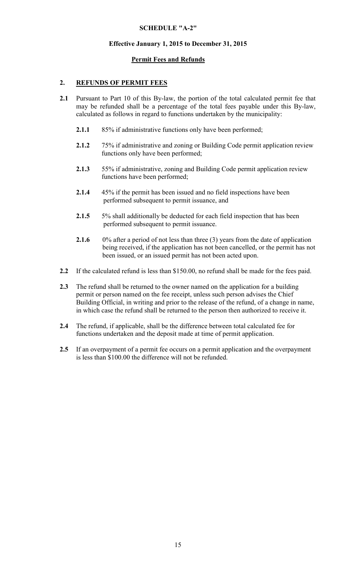# SCHEDULE "A-2"

## Effective January 1, 2015 to December 31, 2015

## Permit Fees and Refunds

## 2. REFUNDS OF PERMIT FEES

- 2.1 Pursuant to Part 10 of this By-law, the portion of the total calculated permit fee that may be refunded shall be a percentage of the total fees payable under this By-law, calculated as follows in regard to functions undertaken by the municipality:
	- 2.1.1 85% if administrative functions only have been performed;
	- 2.1.2 75% if administrative and zoning or Building Code permit application review functions only have been performed;
	- 2.1.3 55% if administrative, zoning and Building Code permit application review functions have been performed;
	- 2.1.4 45% if the permit has been issued and no field inspections have been performed subsequent to permit issuance, and
	- 2.1.5 5% shall additionally be deducted for each field inspection that has been performed subsequent to permit issuance.
	- 2.1.6 0% after a period of not less than three (3) years from the date of application being received, if the application has not been cancelled, or the permit has not been issued, or an issued permit has not been acted upon.
- 2.2 If the calculated refund is less than \$150.00, no refund shall be made for the fees paid.
- 2.3 The refund shall be returned to the owner named on the application for a building permit or person named on the fee receipt, unless such person advises the Chief Building Official, in writing and prior to the release of the refund, of a change in name, in which case the refund shall be returned to the person then authorized to receive it.
- 2.4 The refund, if applicable, shall be the difference between total calculated fee for functions undertaken and the deposit made at time of permit application.
- 2.5 If an overpayment of a permit fee occurs on a permit application and the overpayment is less than \$100.00 the difference will not be refunded.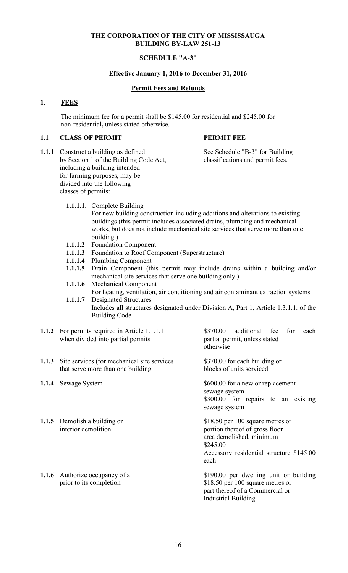## SCHEDULE "A-3"

## Effective January 1, 2016 to December 31, 2016

## Permit Fees and Refunds

## 1. FEES

The minimum fee for a permit shall be \$145.00 for residential and \$245.00 for non-residential, unless stated otherwise.

## 1.1 CLASS OF PERMIT PERMIT FEE

- 1.1.1 Construct a building as defined See Schedule "B-3" for Building by Section 1 of the Building Code Act, classifications and permit fees. including a building intended for farming purposes, may be divided into the following classes of permits:
	- 1.1.1.1. Complete Building

 For new building construction including additions and alterations to existing buildings (this permit includes associated drains, plumbing and mechanical works, but does not include mechanical site services that serve more than one building.)

- 1.1.1.2 Foundation Component
- 1.1.1.3 Foundation to Roof Component (Superstructure)
- 1.1.1.4 Plumbing Component
- 1.1.1.5 Drain Component (this permit may include drains within a building and/or mechanical site services that serve one building only.)
- 1.1.1.6 Mechanical Component
- For heating, ventilation, air conditioning and air contaminant extraction systems 1.1.1.7 Designated Structures
- Includes all structures designated under Division A, Part 1, Article 1.3.1.1. of the Building Code
- 1.1.2 For permits required in Article 1.1.1.1 \$370.00 additional fee for each when divided into partial permits partial permit, unless stated
- 1.1.3 Site services (for mechanical site services \$370.00 for each building or that serve more than one building blocks of units serviced that serve more than one building
- 
- 1.1.5 Demolish a building or \$18.50 per 100 square metres or
- 

otherwise

1.1.4 Sewage System \$600.00 for a new or replacement sewage system \$300.00 for repairs to an existing sewage system

interior demolition portion thereof of gross floor area demolished, minimum \$245.00 Accessory residential structure \$145.00 each

1.1.6 Authorize occupancy of a \$190.00 per dwelling unit or building prior to its completion \$18.50 per 100 square metres or part thereof of a Commercial or Industrial Building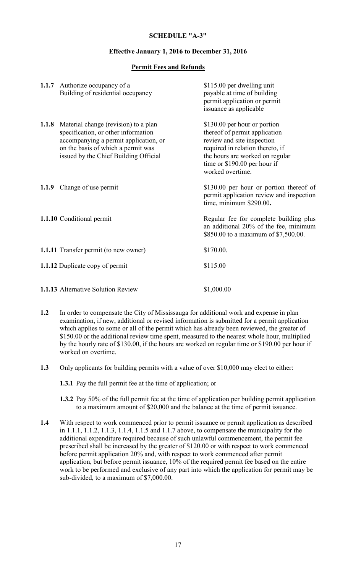### Effective January 1, 2016 to December 31, 2016

## Permit Fees and Refunds

|       | 1.1.7 Authorize occupancy of a<br>Building of residential occupancy                                                                                                                                 | \$115.00 per dwelling unit<br>payable at time of building<br>permit application or permit<br>issuance as applicable                                                                                                    |
|-------|-----------------------------------------------------------------------------------------------------------------------------------------------------------------------------------------------------|------------------------------------------------------------------------------------------------------------------------------------------------------------------------------------------------------------------------|
| 1.1.8 | Material change (revision) to a plan<br>specification, or other information<br>accompanying a permit application, or<br>on the basis of which a permit was<br>issued by the Chief Building Official | \$130.00 per hour or portion<br>thereof of permit application<br>review and site inspection<br>required in relation thereto, if<br>the hours are worked on regular<br>time or \$190.00 per hour if<br>worked overtime. |
|       | 1.1.9 Change of use permit                                                                                                                                                                          | \$130.00 per hour or portion thereof of<br>permit application review and inspection<br>time, minimum \$290.00.                                                                                                         |
|       | 1.1.10 Conditional permit                                                                                                                                                                           | Regular fee for complete building plus<br>an additional 20% of the fee, minimum<br>\$850.00 to a maximum of \$7,500.00.                                                                                                |
|       | <b>1.1.11</b> Transfer permit (to new owner)                                                                                                                                                        | \$170.00.                                                                                                                                                                                                              |
|       | <b>1.1.12</b> Duplicate copy of permit                                                                                                                                                              | \$115.00                                                                                                                                                                                                               |
|       | 1.1.13 Alternative Solution Review                                                                                                                                                                  | \$1,000.00                                                                                                                                                                                                             |

- 1.2 In order to compensate the City of Mississauga for additional work and expense in plan examination, if new, additional or revised information is submitted for a permit application which applies to some or all of the permit which has already been reviewed, the greater of \$150.00 or the additional review time spent, measured to the nearest whole hour, multiplied by the hourly rate of \$130.00, if the hours are worked on regular time or \$190.00 per hour if worked on overtime.
- 1.3 Only applicants for building permits with a value of over \$10,000 may elect to either:

1.3.1 Pay the full permit fee at the time of application; or

- 1.3.2 Pay 50% of the full permit fee at the time of application per building permit application to a maximum amount of \$20,000 and the balance at the time of permit issuance.
- 1.4 With respect to work commenced prior to permit issuance or permit application as described in 1.1.1, 1.1.2, 1.1.3, 1.1.4, 1.1.5 and 1.1.7 above, to compensate the municipality for the additional expenditure required because of such unlawful commencement, the permit fee prescribed shall be increased by the greater of \$120.00 or with respect to work commenced before permit application 20% and, with respect to work commenced after permit application, but before permit issuance, 10% of the required permit fee based on the entire work to be performed and exclusive of any part into which the application for permit may be sub-divided, to a maximum of \$7,000.00.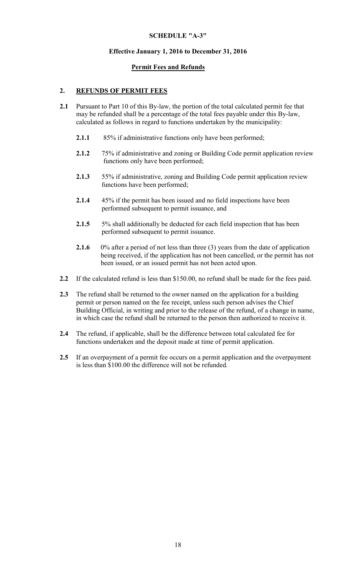## Effective January 1, 2016 to December 31, 2016

## Permit Fees and Refunds

## 2. REFUNDS OF PERMIT FEES

- 2.1 Pursuant to Part 10 of this By-law, the portion of the total calculated permit fee that may be refunded shall be a percentage of the total fees payable under this By-law, calculated as follows in regard to functions undertaken by the municipality:
	- 2.1.1 85% if administrative functions only have been performed;
	- 2.1.2 75% if administrative and zoning or Building Code permit application review functions only have been performed;
	- 2.1.3 55% if administrative, zoning and Building Code permit application review functions have been performed;
	- 2.1.4 45% if the permit has been issued and no field inspections have been performed subsequent to permit issuance, and
	- 2.1.5 5% shall additionally be deducted for each field inspection that has been performed subsequent to permit issuance.
	- 2.1.6 0% after a period of not less than three (3) years from the date of application being received, if the application has not been cancelled, or the permit has not been issued, or an issued permit has not been acted upon.
- 2.2 If the calculated refund is less than \$150.00, no refund shall be made for the fees paid.
- 2.3 The refund shall be returned to the owner named on the application for a building permit or person named on the fee receipt, unless such person advises the Chief Building Official, in writing and prior to the release of the refund, of a change in name, in which case the refund shall be returned to the person then authorized to receive it.
- 2.4 The refund, if applicable, shall be the difference between total calculated fee for functions undertaken and the deposit made at time of permit application.
- 2.5 If an overpayment of a permit fee occurs on a permit application and the overpayment is less than \$100.00 the difference will not be refunded.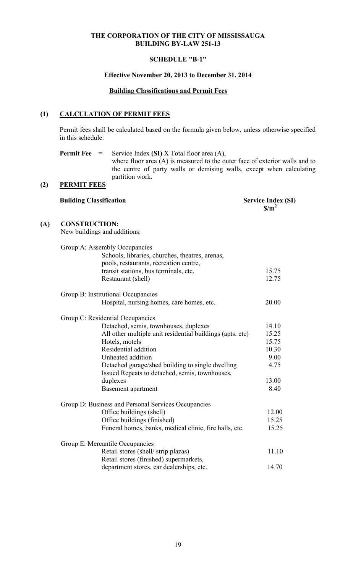## SCHEDULE "B-1"

## Effective November 20, 2013 to December 31, 2014

## Building Classifications and Permit Fees

# (1) CALCULATION OF PERMIT FEES

Permit fees shall be calculated based on the formula given below, unless otherwise specified in this schedule.

**Permit Fee** = Service Index (SI) X Total floor area (A), where floor area (A) is measured to the outer face of exterior walls and to the centre of party walls or demising walls, except when calculating partition work.

## (2) PERMIT FEES

|     | <b>Building Classification</b>                                                   | <b>Service Index (SI)</b><br>S/m <sup>2</sup> |
|-----|----------------------------------------------------------------------------------|-----------------------------------------------|
| (A) | <b>CONSTRUCTION:</b><br>New buildings and additions:                             |                                               |
|     | Group A: Assembly Occupancies<br>Schools, libraries, churches, theatres, arenas, |                                               |

| pools, restaurants, recreation centre,                                                             |       |
|----------------------------------------------------------------------------------------------------|-------|
| transit stations, bus terminals, etc.                                                              | 15.75 |
| Restaurant (shell)                                                                                 | 12.75 |
| Group B: Institutional Occupancies                                                                 |       |
| Hospital, nursing homes, care homes, etc.                                                          | 20.00 |
| Group C: Residential Occupancies                                                                   |       |
| Detached, semis, townhouses, duplexes                                                              | 14.10 |
| All other multiple unit residential buildings (apts. etc)                                          | 15.25 |
| Hotels, motels                                                                                     | 15.75 |
| Residential addition                                                                               | 10.30 |
| Unheated addition                                                                                  | 9.00  |
| Detached garage/shed building to single dwelling<br>Issued Repeats to detached, semis, townhouses, | 4.75  |
| duplexes                                                                                           | 13.00 |
| <b>Basement</b> apartment                                                                          | 8.40  |
| Group D: Business and Personal Services Occupancies                                                |       |
| Office buildings (shell)                                                                           | 12.00 |
| Office buildings (finished)                                                                        | 15.25 |
| Funeral homes, banks, medical clinic, fire halls, etc.                                             | 15.25 |
| Group E: Mercantile Occupancies                                                                    |       |
| Retail stores (shell/strip plazas)                                                                 | 11.10 |
| Retail stores (finished) supermarkets,                                                             |       |
| department stores, car dealerships, etc.                                                           | 14.70 |
|                                                                                                    |       |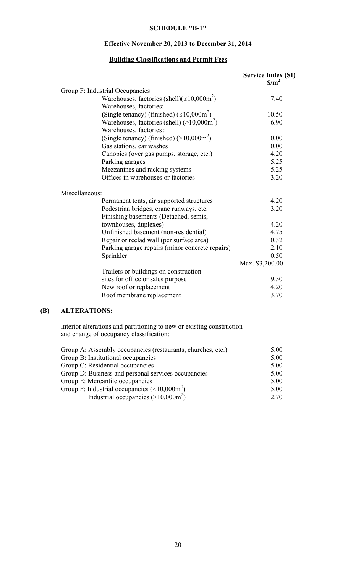## Effective November 20, 2013 to December 31, 2014

## Building Classifications and Permit Fees

|                                                               | <b>Service Index (SI)</b><br>$\frac{\mathrm{s}}{\mathrm{m}^2}$ |
|---------------------------------------------------------------|----------------------------------------------------------------|
| Group F: Industrial Occupancies                               |                                                                |
| Warehouses, factories (shell)( $\leq 10,000$ m <sup>2</sup> ) | 7.40                                                           |
| Warehouses, factories:                                        |                                                                |
| (Single tenancy) (finished) $(\leq 10,000 \text{m}^2)$        | 10.50                                                          |
| Warehouses, factories (shell) $(>10,000m^2)$                  | 6.90                                                           |
| Warehouses, factories :                                       |                                                                |
| (Single tenancy) (finished) $(>10,000 \text{m}^2)$            | 10.00                                                          |
| Gas stations, car washes                                      | 10.00                                                          |
| Canopies (over gas pumps, storage, etc.)                      | 4.20                                                           |
| Parking garages                                               | 5.25                                                           |
| Mezzanines and racking systems                                | 5.25                                                           |
| Offices in warehouses or factories                            | 3.20                                                           |
| Miscellaneous:                                                |                                                                |
| Permanent tents, air supported structures                     | 4.20                                                           |
| Pedestrian bridges, crane runways, etc.                       | 3.20                                                           |
| Finishing basements (Detached, semis,                         |                                                                |
| townhouses, duplexes)                                         | 4.20                                                           |
| Unfinished basement (non-residential)                         | 4.75                                                           |
| Repair or reclad wall (per surface area)                      | 0.32                                                           |
| Parking garage repairs (minor concrete repairs)               | 2.10                                                           |
| Sprinkler                                                     | 0.50                                                           |
|                                                               | Max. \$3,200.00                                                |
| Trailers or buildings on construction                         |                                                                |
| sites for office or sales purpose                             | 9.50                                                           |
| New roof or replacement                                       | 4.20                                                           |
| Roof membrane replacement                                     | 3.70                                                           |

## (B) ALTERATIONS:

Interior alterations and partitioning to new or existing construction and change of occupancy classification:

| Group A: Assembly occupancies (restaurants, churches, etc.)      | 5.00 |
|------------------------------------------------------------------|------|
| Group B: Institutional occupancies                               | 5.00 |
| Group C: Residential occupancies                                 | 5.00 |
| Group D: Business and personal services occupancies              | 5.00 |
| Group E: Mercantile occupancies                                  | 5.00 |
| Group F: Industrial occupancies ( $\leq 10,000$ m <sup>2</sup> ) | 5.00 |
| Industrial occupancies $(>10,000m^2)$                            | 2.70 |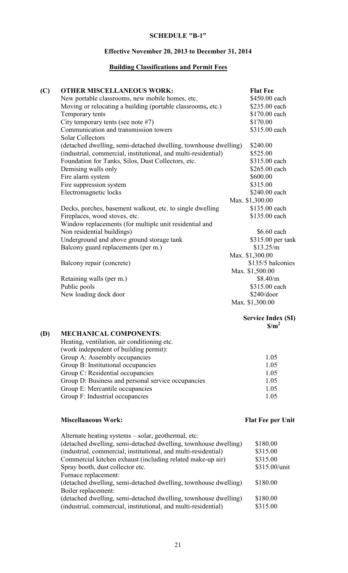# Effective November 20, 2013 to December 31, 2014

# Building Classifications and Permit Fees

| (C) | <b>OTHER MISCELLANEOUS WORK:</b>                                | <b>Flat Fee</b>   |
|-----|-----------------------------------------------------------------|-------------------|
|     | New portable classrooms, new mobile homes, etc.                 | \$450.00 each     |
|     | Moving or relocating a building (portable classrooms, etc.)     | \$235.00 each     |
|     | Temporary tents                                                 | \$170.00 each     |
|     | City temporary tents (see note #7)                              | \$170.00          |
|     | Communication and transmission towers                           | \$315.00 each     |
|     | <b>Solar Collectors</b>                                         |                   |
|     | (detached dwelling, semi-detached dwelling, townhouse dwelling) | \$240.00          |
|     | (industrial, commercial, institutional, and multi-residential)  | \$525.00          |
|     | Foundation for Tanks, Silos, Dust Collectors, etc.              | \$315.00 each     |
|     | Demising walls only                                             | \$265.00 each     |
|     | Fire alarm system                                               | \$600.00          |
|     | Fire suppression system                                         | \$315.00          |
|     | Electromagnetic locks                                           | \$240.00 each     |
|     |                                                                 | Max. \$1,300.00   |
|     | Decks, porches, basement walkout, etc. to single dwelling       | \$135.00 each     |
|     | Fireplaces, wood stoves, etc.                                   | \$135.00 each     |
|     | Window replacements (for multiple unit residential and          |                   |
|     | Non residential buildings)                                      | \$6.60 each       |
|     | Underground and above ground storage tank                       | \$315.00 per tank |
|     | Balcony guard replacements (per m.)                             | \$13.25/m         |
|     |                                                                 | Max. \$1,300.00   |
|     | Balcony repair (concrete)                                       | \$135/5 balconies |
|     |                                                                 | Max. \$1,500.00   |
|     | Retaining walls (per m.)                                        | \$8.40/m          |
|     | Public pools                                                    | \$315.00 each     |
|     | New loading dock door                                           | \$240/door        |
|     |                                                                 | Max. \$1,300.00   |
|     |                                                                 |                   |

#### Service Index (SI)  $\text{S/m}^2$

# (D) MECHANICAL COMPONENTS:

| Heating, ventilation, air conditioning etc.        |      |
|----------------------------------------------------|------|
| (work independent of building permit):             |      |
| Group A: Assembly occupancies                      | 1.05 |
| Group B: Institutional occupancies                 | 1.05 |
| Group C: Residential occupancies                   | 1.05 |
| Group D: Business and personal service occupancies | 1.05 |
| Group E: Mercantile occupancies                    | 1.05 |
| Group F: Industrial occupancies                    | 1.05 |

# Miscellaneous Work: Flat Fee per Unit

| Alternate heating systems – solar, geothermal, etc:             |               |
|-----------------------------------------------------------------|---------------|
| (detached dwelling, semi-detached dwelling, townhouse dwelling) | \$180.00      |
| (industrial, commercial, institutional, and multi-residential)  | \$315.00      |
| Commercial kitchen exhaust (including related make-up air)      | \$315.00      |
| Spray booth, dust collector etc.                                | \$315.00/unit |
| Furnace replacement:                                            |               |
| (detached dwelling, semi-detached dwelling, townhouse dwelling) | \$180.00      |
| Boiler replacement:                                             |               |
| (detached dwelling, semi-detached dwelling, townhouse dwelling) | \$180.00      |
| (industrial, commercial, institutional, and multi-residential)  | \$315.00      |
|                                                                 |               |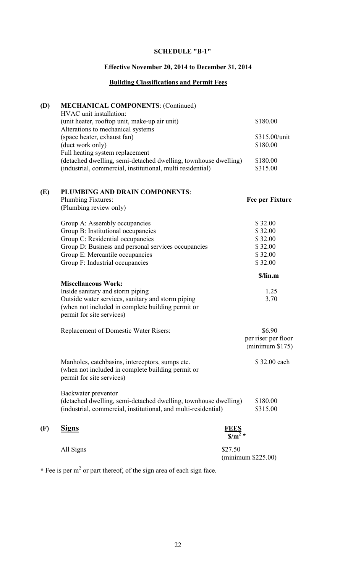# Effective November 20, 2014 to December 31, 2014

# Building Classifications and Permit Fees

| (D) | <b>MECHANICAL COMPONENTS: (Continued)</b><br>HVAC unit installation:                                                                                             |                                        |                                                 |
|-----|------------------------------------------------------------------------------------------------------------------------------------------------------------------|----------------------------------------|-------------------------------------------------|
|     | (unit heater, rooftop unit, make-up air unit)<br>Alterations to mechanical systems                                                                               |                                        | \$180.00                                        |
|     | (space heater, exhaust fan)<br>(duct work only)                                                                                                                  |                                        | \$315.00/unit<br>\$180.00                       |
|     | Full heating system replacement<br>(detached dwelling, semi-detached dwelling, townhouse dwelling)<br>(industrial, commercial, institutional, multi residential) |                                        | \$180.00<br>\$315.00                            |
| (E) | PLUMBING AND DRAIN COMPONENTS:                                                                                                                                   |                                        |                                                 |
|     | Plumbing Fixtures:<br>(Plumbing review only)                                                                                                                     |                                        | <b>Fee per Fixture</b>                          |
|     | Group A: Assembly occupancies                                                                                                                                    |                                        | \$32.00                                         |
|     | Group B: Institutional occupancies                                                                                                                               |                                        | \$32.00                                         |
|     | Group C: Residential occupancies                                                                                                                                 |                                        | \$32.00                                         |
|     | Group D: Business and personal services occupancies                                                                                                              |                                        | \$32.00                                         |
|     | Group E: Mercantile occupancies                                                                                                                                  |                                        | \$32.00                                         |
|     | Group F: Industrial occupancies                                                                                                                                  |                                        | \$32.00                                         |
|     |                                                                                                                                                                  |                                        | \$/lin.m                                        |
|     | <b>Miscellaneous Work:</b>                                                                                                                                       |                                        |                                                 |
|     | Inside sanitary and storm piping                                                                                                                                 |                                        | 1.25                                            |
|     | Outside water services, sanitary and storm piping<br>(when not included in complete building permit or<br>permit for site services)                              |                                        | 3.70                                            |
|     | Replacement of Domestic Water Risers:                                                                                                                            |                                        | \$6.90                                          |
|     |                                                                                                                                                                  |                                        | per riser per floor<br>$(\text{minimum } $175)$ |
|     | Manholes, catchbasins, interceptors, sumps etc.<br>(when not included in complete building permit or<br>permit for site services)                                |                                        | \$32.00 each                                    |
|     | Backwater preventor<br>(detached dwelling, semi-detached dwelling, townhouse dwelling)<br>(industrial, commercial, institutional, and multi-residential)         |                                        | \$180.00<br>\$315.00                            |
| (F) | <b>Signs</b>                                                                                                                                                     |                                        |                                                 |
|     | All Signs                                                                                                                                                        | \$27.50<br>$(\text{minimum } $225.00)$ |                                                 |

\* Fee is per  $m<sup>2</sup>$  or part thereof, of the sign area of each sign face.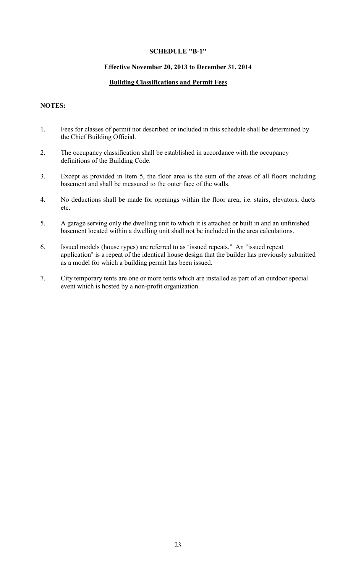## Effective November 20, 2013 to December 31, 2014

## Building Classifications and Permit Fees

## NOTES:

- 1. Fees for classes of permit not described or included in this schedule shall be determined by the Chief Building Official.
- 2. The occupancy classification shall be established in accordance with the occupancy definitions of the Building Code.
- 3. Except as provided in Item 5, the floor area is the sum of the areas of all floors including basement and shall be measured to the outer face of the walls.
- 4. No deductions shall be made for openings within the floor area; i.e. stairs, elevators, ducts etc.
- 5. A garage serving only the dwelling unit to which it is attached or built in and an unfinished basement located within a dwelling unit shall not be included in the area calculations.
- 6. Issued models (house types) are referred to as "issued repeats." An "issued repeat application" is a repeat of the identical house design that the builder has previously submitted as a model for which a building permit has been issued.
- 7. City temporary tents are one or more tents which are installed as part of an outdoor special event which is hosted by a non-profit organization.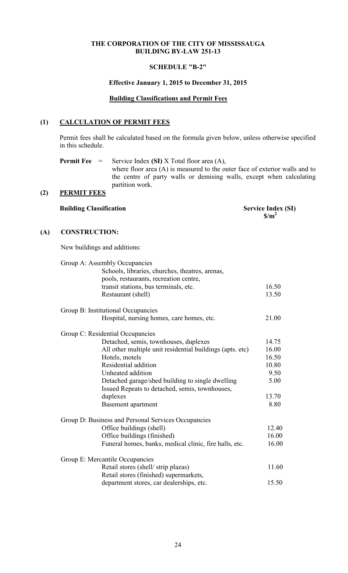## SCHEDULE "B-2"

### Effective January 1, 2015 to December 31, 2015

## Building Classifications and Permit Fees

## (1) CALCULATION OF PERMIT FEES

Permit fees shall be calculated based on the formula given below, unless otherwise specified in this schedule.

**Permit Fee** = Service Index (SI) X Total floor area (A), where floor area (A) is measured to the outer face of exterior walls and to the centre of party walls or demising walls, except when calculating partition work.

# (2) PERMIT FEES

Building Classification Service Index (SI)  $\sin^2$ 

## (A) CONSTRUCTION:

New buildings and additions:

| Group A: Assembly Occupancies<br>Schools, libraries, churches, theatres, arenas,<br>pools, restaurants, recreation centre, |       |
|----------------------------------------------------------------------------------------------------------------------------|-------|
| transit stations, bus terminals, etc.                                                                                      | 16.50 |
| Restaurant (shell)                                                                                                         | 13.50 |
| Group B: Institutional Occupancies                                                                                         |       |
| Hospital, nursing homes, care homes, etc.                                                                                  | 21.00 |
| Group C: Residential Occupancies                                                                                           |       |
| Detached, semis, townhouses, duplexes                                                                                      | 14.75 |
| All other multiple unit residential buildings (apts. etc)                                                                  | 16.00 |
| Hotels, motels                                                                                                             | 16.50 |
| Residential addition                                                                                                       | 10.80 |
| Unheated addition                                                                                                          | 9.50  |
| Detached garage/shed building to single dwelling<br>Issued Repeats to detached, semis, townhouses,                         | 5.00  |
| duplexes                                                                                                                   | 13.70 |
| Basement apartment                                                                                                         | 8.80  |
| Group D: Business and Personal Services Occupancies                                                                        |       |
| Office buildings (shell)                                                                                                   | 12.40 |
| Office buildings (finished)                                                                                                | 16.00 |
| Funeral homes, banks, medical clinic, fire halls, etc.                                                                     | 16.00 |
| Group E: Mercantile Occupancies                                                                                            |       |
| Retail stores (shell/strip plazas)                                                                                         | 11.60 |
| Retail stores (finished) supermarkets,                                                                                     |       |
| department stores, car dealerships, etc.                                                                                   | 15.50 |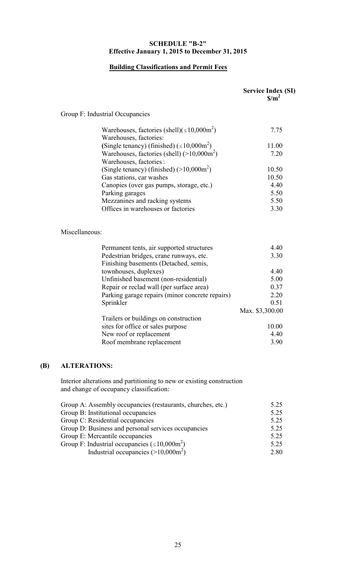## SCHEDULE "B-2" Effective January 1, 2015 to December 31, 2015

# Building Classifications and Permit Fees

|                |                                                                                         | <b>Service Index (SI)</b><br>$\frac{\mathrm{S}}{\mathrm{m}^2}$ |
|----------------|-----------------------------------------------------------------------------------------|----------------------------------------------------------------|
|                | Group F: Industrial Occupancies                                                         |                                                                |
|                | Warehouses, factories (shell)( $\leq 10,000$ m <sup>2</sup> )<br>Warehouses, factories: | 7.75                                                           |
|                | (Single tenancy) (finished) $(\leq 10,000$ m <sup>2</sup> )                             | 11.00                                                          |
|                | Warehouses, factories (shell) $(>10,000m^2)$<br>Warehouses, factories :                 | 7.20                                                           |
|                | (Single tenancy) (finished) $(>10,000m^2)$                                              | 10.50                                                          |
|                | Gas stations, car washes                                                                | 10.50                                                          |
|                | Canopies (over gas pumps, storage, etc.)                                                | 4.40                                                           |
|                | Parking garages                                                                         | 5.50                                                           |
|                | Mezzanines and racking systems                                                          | 5.50                                                           |
|                | Offices in warehouses or factories                                                      | 3.30                                                           |
| Miscellaneous: |                                                                                         |                                                                |
|                |                                                                                         |                                                                |
|                | Permanent tents, air supported structures                                               | 4.40                                                           |
|                | Pedestrian bridges, crane runways, etc.<br>Finishing basements (Detached, semis,        | 3.30                                                           |
|                | townhouses, duplexes)                                                                   | 4.40                                                           |
|                | Unfinished basement (non-residential)                                                   | 5.00                                                           |
|                | Repair or reclad wall (per surface area)                                                | 0.37                                                           |
|                | Parking garage repairs (minor concrete repairs)                                         | 2.20                                                           |
|                | Sprinkler                                                                               | 0.51                                                           |
|                |                                                                                         | Max. \$3,300.00                                                |
|                | Trailers or buildings on construction                                                   |                                                                |
|                | sites for office or sales purpose                                                       | 10.00                                                          |
|                | New roof or replacement<br>Roof membrane replacement                                    | 4.40<br>3.90                                                   |

# (B) ALTERATIONS:

Interior alterations and partitioning to new or existing construction and change of occupancy classification:

| Group A: Assembly occupancies (restaurants, churches, etc.)      | 5.25 |
|------------------------------------------------------------------|------|
| Group B: Institutional occupancies                               | 5.25 |
| Group C: Residential occupancies                                 | 5.25 |
| Group D: Business and personal services occupancies              | 5.25 |
| Group E: Mercantile occupancies                                  | 5.25 |
| Group F: Industrial occupancies ( $\leq 10,000$ m <sup>2</sup> ) | 5.25 |
| Industrial occupancies $(>10,000m^2)$                            | 2.80 |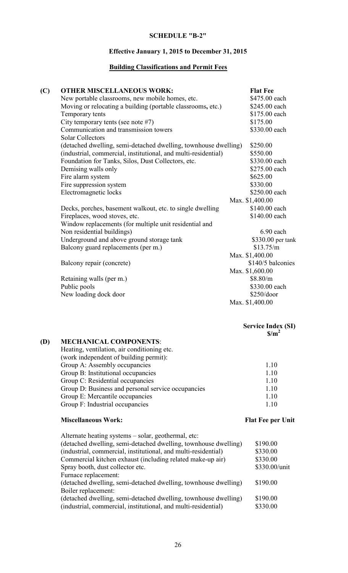# Effective January 1, 2015 to December 31, 2015

# Building Classifications and Permit Fees

| (C) | <b>OTHER MISCELLANEOUS WORK:</b>                                 | <b>Flat Fee</b>   |
|-----|------------------------------------------------------------------|-------------------|
|     | New portable classrooms, new mobile homes, etc.                  | \$475.00 each     |
|     | Moving or relocating a building (portable classrooms, etc.)      | \$245.00 each     |
|     | Temporary tents                                                  | \$175.00 each     |
|     | City temporary tents (see note $#7$ )                            | \$175.00          |
|     | Communication and transmission towers<br><b>Solar Collectors</b> | \$330.00 each     |
|     | (detached dwelling, semi-detached dwelling, townhouse dwelling)  | \$250.00          |
|     | (industrial, commercial, institutional, and multi-residential)   | \$550.00          |
|     | Foundation for Tanks, Silos, Dust Collectors, etc.               | \$330.00 each     |
|     | Demising walls only                                              | \$275.00 each     |
|     | Fire alarm system                                                | \$625.00          |
|     | Fire suppression system                                          | \$330.00          |
|     | Electromagnetic locks                                            | \$250.00 each     |
|     |                                                                  | Max. \$1,400.00   |
|     | Decks, porches, basement walkout, etc. to single dwelling        | \$140.00 each     |
|     | Fireplaces, wood stoves, etc.                                    | \$140.00 each     |
|     | Window replacements (for multiple unit residential and           |                   |
|     | Non residential buildings)                                       | 6.90 each         |
|     | Underground and above ground storage tank                        | \$330.00 per tank |
|     | Balcony guard replacements (per m.)                              | \$13.75/m         |
|     |                                                                  | Max. \$1,400.00   |
|     | Balcony repair (concrete)                                        | \$140/5 balconies |
|     |                                                                  | Max. \$1,600.00   |
|     | Retaining walls (per m.)                                         | \$8.80/m          |
|     | Public pools                                                     | \$330.00 each     |
|     | New loading dock door                                            | $$250$ /door      |
|     |                                                                  | Max. \$1,400.00   |

## Service Index (SI)  $\text{S/m}^2$

# (D) MECHANICAL COMPONENTS:

| Heating, ventilation, air conditioning etc.        |       |
|----------------------------------------------------|-------|
| (work independent of building permit):             |       |
| Group A: Assembly occupancies                      | 1.10  |
| Group B: Institutional occupancies                 | 1.10  |
| Group C: Residential occupancies                   | 1.10  |
| Group D: Business and personal service occupancies | 1.10  |
| Group E: Mercantile occupancies                    | 1.10  |
| Group F: Industrial occupancies                    | 1 1 0 |

# Miscellaneous Work: Flat Fee per Unit

| Alternate heating systems – solar, geothermal, etc:             |               |
|-----------------------------------------------------------------|---------------|
| (detached dwelling, semi-detached dwelling, townhouse dwelling) | \$190.00      |
| (industrial, commercial, institutional, and multi-residential)  | \$330.00      |
| Commercial kitchen exhaust (including related make-up air)      | \$330.00      |
| Spray booth, dust collector etc.                                | \$330.00/unit |
| Furnace replacement:                                            |               |
| (detached dwelling, semi-detached dwelling, townhouse dwelling) | \$190.00      |
| Boiler replacement:                                             |               |
| (detached dwelling, semi-detached dwelling, townhouse dwelling) | \$190.00      |
| (industrial, commercial, institutional, and multi-residential)  | \$330.00      |
|                                                                 |               |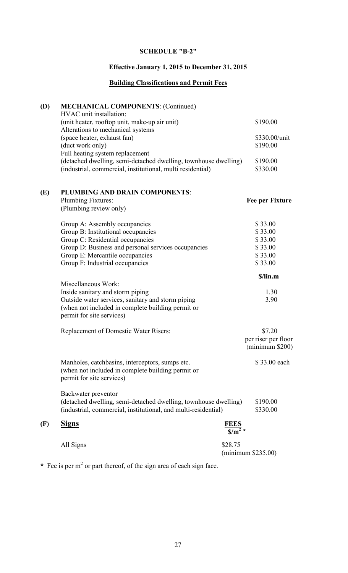# Effective January 1, 2015 to December 31, 2015

# Building Classifications and Permit Fees

| (D) | <b>MECHANICAL COMPONENTS: (Continued)</b><br>HVAC unit installation:                                                              |                                    |                             |
|-----|-----------------------------------------------------------------------------------------------------------------------------------|------------------------------------|-----------------------------|
|     | (unit heater, rooftop unit, make-up air unit)                                                                                     |                                    | \$190.00                    |
|     | Alterations to mechanical systems                                                                                                 |                                    |                             |
|     | (space heater, exhaust fan)<br>(duct work only)                                                                                   |                                    | \$330.00/unit<br>\$190.00   |
|     | Full heating system replacement                                                                                                   |                                    |                             |
|     | (detached dwelling, semi-detached dwelling, townhouse dwelling)                                                                   |                                    | \$190.00                    |
|     | (industrial, commercial, institutional, multi residential)                                                                        |                                    | \$330.00                    |
| (E) | PLUMBING AND DRAIN COMPONENTS:                                                                                                    |                                    |                             |
|     | Plumbing Fixtures:                                                                                                                |                                    | <b>Fee per Fixture</b>      |
|     | (Plumbing review only)                                                                                                            |                                    |                             |
|     | Group A: Assembly occupancies                                                                                                     |                                    | \$33.00                     |
|     | Group B: Institutional occupancies                                                                                                |                                    | \$33.00                     |
|     | Group C: Residential occupancies                                                                                                  |                                    | \$33.00                     |
|     | Group D: Business and personal services occupancies                                                                               |                                    | \$33.00                     |
|     | Group E: Mercantile occupancies                                                                                                   |                                    | \$33.00                     |
|     | Group F: Industrial occupancies                                                                                                   |                                    | \$33.00                     |
|     | Miscellaneous Work:                                                                                                               |                                    | \$/lin.m                    |
|     | Inside sanitary and storm piping                                                                                                  |                                    | 1.30                        |
|     | Outside water services, sanitary and storm piping                                                                                 |                                    | 3.90                        |
|     | (when not included in complete building permit or<br>permit for site services)                                                    |                                    |                             |
|     | Replacement of Domestic Water Risers:                                                                                             |                                    | \$7.20                      |
|     |                                                                                                                                   |                                    | per riser per floor         |
|     |                                                                                                                                   |                                    | $(\text{minimum } $200)$    |
|     | Manholes, catchbasins, interceptors, sumps etc.<br>(when not included in complete building permit or<br>permit for site services) |                                    | \$33.00 each                |
|     | Backwater preventor                                                                                                               |                                    |                             |
|     | (detached dwelling, semi-detached dwelling, townhouse dwelling)<br>(industrial, commercial, institutional, and multi-residential) |                                    | \$190.00<br>\$330.00        |
| (F) | <b>Signs</b>                                                                                                                      | $\frac{\text{FEES}}{\text{S/m}^2}$ |                             |
|     | All Signs                                                                                                                         | \$28.75                            | $(\text{minimum } $235.00)$ |

\* Fee is per  $m<sup>2</sup>$  or part thereof, of the sign area of each sign face.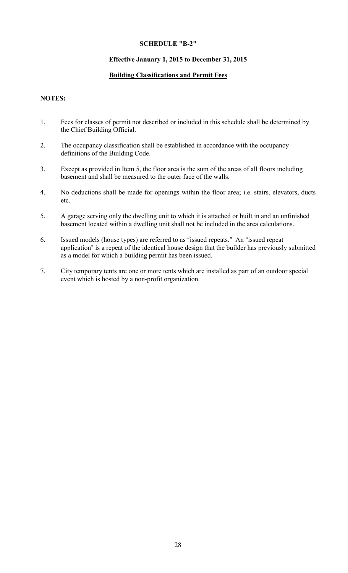## Effective January 1, 2015 to December 31, 2015

# Building Classifications and Permit Fees

## NOTES:

- 1. Fees for classes of permit not described or included in this schedule shall be determined by the Chief Building Official.
- 2. The occupancy classification shall be established in accordance with the occupancy definitions of the Building Code.
- 3. Except as provided in Item 5, the floor area is the sum of the areas of all floors including basement and shall be measured to the outer face of the walls.
- 4. No deductions shall be made for openings within the floor area; i.e. stairs, elevators, ducts etc.
- 5. A garage serving only the dwelling unit to which it is attached or built in and an unfinished basement located within a dwelling unit shall not be included in the area calculations.
- 6. Issued models (house types) are referred to as "issued repeats." An "issued repeat application" is a repeat of the identical house design that the builder has previously submitted as a model for which a building permit has been issued.
- 7. City temporary tents are one or more tents which are installed as part of an outdoor special event which is hosted by a non-profit organization.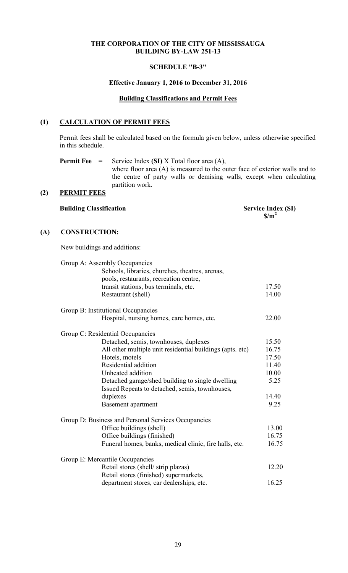## SCHEDULE "B-3"

### Effective January 1, 2016 to December 31, 2016

## Building Classifications and Permit Fees

# (1) CALCULATION OF PERMIT FEES

Permit fees shall be calculated based on the formula given below, unless otherwise specified in this schedule.

**Permit Fee** = Service Index (SI) X Total floor area (A), where floor area (A) is measured to the outer face of exterior walls and to the centre of party walls or demising walls, except when calculating partition work.

# (2) PERMIT FEES

## Building Classification Service Index (SI)  $\sin^2$

## (A) CONSTRUCTION:

New buildings and additions:

| Group A: Assembly Occupancies      | Schools, libraries, churches, theatres, arenas,<br>pools, restaurants, recreation centre,          |       |
|------------------------------------|----------------------------------------------------------------------------------------------------|-------|
|                                    | transit stations, bus terminals, etc.                                                              | 17.50 |
|                                    | Restaurant (shell)                                                                                 | 14.00 |
| Group B: Institutional Occupancies |                                                                                                    |       |
|                                    | Hospital, nursing homes, care homes, etc.                                                          | 22.00 |
| Group C: Residential Occupancies   |                                                                                                    |       |
|                                    | Detached, semis, townhouses, duplexes                                                              | 15.50 |
|                                    | All other multiple unit residential buildings (apts. etc)                                          | 16.75 |
|                                    | Hotels, motels                                                                                     | 17.50 |
|                                    | Residential addition                                                                               | 11.40 |
|                                    | Unheated addition                                                                                  | 10.00 |
|                                    | Detached garage/shed building to single dwelling<br>Issued Repeats to detached, semis, townhouses, | 5.25  |
|                                    | duplexes                                                                                           | 14.40 |
|                                    | Basement apartment                                                                                 | 9.25  |
|                                    | Group D: Business and Personal Services Occupancies                                                |       |
|                                    | Office buildings (shell)                                                                           | 13.00 |
|                                    | Office buildings (finished)                                                                        | 16.75 |
|                                    | Funeral homes, banks, medical clinic, fire halls, etc.                                             | 16.75 |
| Group E: Mercantile Occupancies    |                                                                                                    |       |
|                                    | Retail stores (shell/strip plazas)                                                                 | 12.20 |
|                                    | Retail stores (finished) supermarkets,                                                             |       |
|                                    | department stores, car dealerships, etc.                                                           | 16.25 |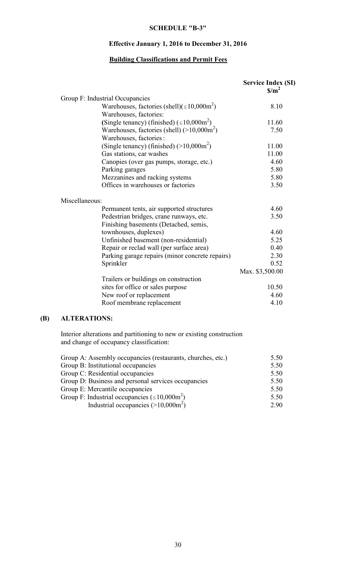# Effective January 1, 2016 to December 31, 2016

# Building Classifications and Permit Fees

|                |                                                                                         | <b>Service Index (SI)</b><br>$\frac{\mathrm{S}}{\mathrm{m}^2}$ |
|----------------|-----------------------------------------------------------------------------------------|----------------------------------------------------------------|
|                | Group F: Industrial Occupancies                                                         |                                                                |
|                | Warehouses, factories (shell)( $\leq 10,000$ m <sup>2</sup> )<br>Warehouses, factories: | 8.10                                                           |
|                | (Single tenancy) (finished) $(\leq 10,000 \text{m}^2)$                                  | 11.60                                                          |
|                | Warehouses, factories (shell) $(>10,000m^2)$<br>Warehouses, factories :                 | 7.50                                                           |
|                | (Single tenancy) (finished) $(>10,000m^2)$                                              | 11.00                                                          |
|                | Gas stations, car washes                                                                | 11.00                                                          |
|                | Canopies (over gas pumps, storage, etc.)                                                | 4.60                                                           |
|                | Parking garages                                                                         | 5.80                                                           |
|                | Mezzanines and racking systems                                                          | 5.80                                                           |
|                | Offices in warehouses or factories                                                      | 3.50                                                           |
| Miscellaneous: |                                                                                         |                                                                |
|                | Permanent tents, air supported structures                                               | 4.60                                                           |
|                | Pedestrian bridges, crane runways, etc.<br>Finishing basements (Detached, semis,        | 3.50                                                           |
|                | townhouses, duplexes)                                                                   | 4.60                                                           |
|                | Unfinished basement (non-residential)                                                   | 5.25                                                           |
|                | Repair or reclad wall (per surface area)                                                | 0.40                                                           |
|                | Parking garage repairs (minor concrete repairs)                                         | 2.30                                                           |
|                | Sprinkler                                                                               | 0.52                                                           |
|                |                                                                                         | Max. \$3,500.00                                                |
|                | Trailers or buildings on construction                                                   |                                                                |
|                | sites for office or sales purpose                                                       | 10.50                                                          |
|                | New roof or replacement                                                                 | 4.60                                                           |
|                | Roof membrane replacement                                                               | 4.10                                                           |

# (B) ALTERATIONS:

Interior alterations and partitioning to new or existing construction and change of occupancy classification:

| 5.50 |
|------|
| 5.50 |
| 5.50 |
| 5.50 |
| 5.50 |
| 5.50 |
| 2.90 |
|      |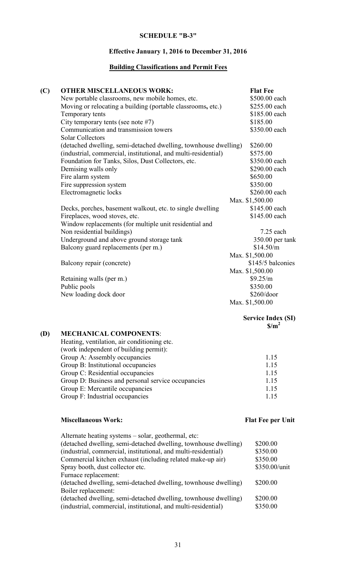# Effective January 1, 2016 to December 31, 2016

# Building Classifications and Permit Fees

| (C) | <b>OTHER MISCELLANEOUS WORK:</b>                                | <b>Flat Fee</b>   |
|-----|-----------------------------------------------------------------|-------------------|
|     | New portable classrooms, new mobile homes, etc.                 | \$500.00 each     |
|     | Moving or relocating a building (portable classrooms, etc.)     | \$255.00 each     |
|     | Temporary tents                                                 | \$185.00 each     |
|     | City temporary tents (see note #7)                              | \$185.00          |
|     | Communication and transmission towers                           | \$350.00 each     |
|     | <b>Solar Collectors</b>                                         |                   |
|     | (detached dwelling, semi-detached dwelling, townhouse dwelling) | \$260.00          |
|     | (industrial, commercial, institutional, and multi-residential)  | \$575.00          |
|     | Foundation for Tanks, Silos, Dust Collectors, etc.              | \$350.00 each     |
|     | Demising walls only                                             | \$290.00 each     |
|     | Fire alarm system                                               | \$650.00          |
|     | Fire suppression system                                         | \$350.00          |
|     | Electromagnetic locks                                           | \$260.00 each     |
|     |                                                                 | Max. \$1,500.00   |
|     | Decks, porches, basement walkout, etc. to single dwelling       | \$145.00 each     |
|     | Fireplaces, wood stoves, etc.                                   | \$145.00 each     |
|     | Window replacements (for multiple unit residential and          |                   |
|     | Non residential buildings)                                      | $7.25$ each       |
|     | Underground and above ground storage tank                       | 350.00 per tank   |
|     | Balcony guard replacements (per m.)                             | \$14.50/m         |
|     |                                                                 | Max. \$1,500.00   |
|     | Balcony repair (concrete)                                       | \$145/5 balconies |
|     |                                                                 | Max. \$1,500.00   |
|     | Retaining walls (per m.)                                        | \$9.25/m          |
|     | Public pools                                                    | \$350.00          |
|     | New loading dock door                                           | \$260/door        |
|     |                                                                 | Max. \$1,500.00   |
|     |                                                                 |                   |

#### Service Index (SI)  $\text{S/m}^2$

# (D) MECHANICAL COMPONENTS:

| Heating, ventilation, air conditioning etc.        |      |
|----------------------------------------------------|------|
| (work independent of building permit):             |      |
| Group A: Assembly occupancies                      | 1.15 |
| Group B: Institutional occupancies                 | 1.15 |
| Group C: Residential occupancies                   | 1.15 |
| Group D: Business and personal service occupancies | 1.15 |
| Group E: Mercantile occupancies                    | 1.15 |
| Group F: Industrial occupancies                    | 1 15 |

# Miscellaneous Work: Flat Fee per Unit

| Alternate heating systems – solar, geothermal, etc:             |               |
|-----------------------------------------------------------------|---------------|
| (detached dwelling, semi-detached dwelling, townhouse dwelling) | \$200.00      |
| (industrial, commercial, institutional, and multi-residential)  | \$350.00      |
| Commercial kitchen exhaust (including related make-up air)      | \$350.00      |
| Spray booth, dust collector etc.                                | \$350.00/unit |
| Furnace replacement:                                            |               |
| (detached dwelling, semi-detached dwelling, townhouse dwelling) | \$200.00      |
| Boiler replacement:                                             |               |
| (detached dwelling, semi-detached dwelling, townhouse dwelling) | \$200.00      |
| (industrial, commercial, institutional, and multi-residential)  | \$350.00      |
|                                                                 |               |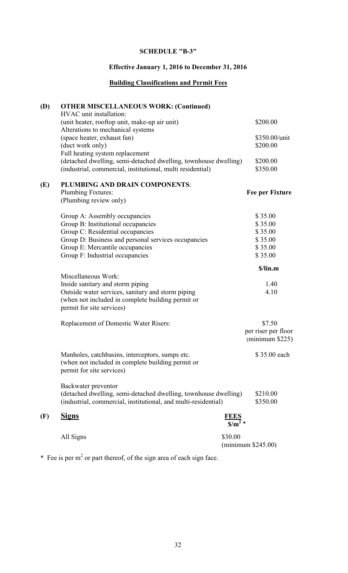# Effective January 1, 2016 to December 31, 2016

# Building Classifications and Permit Fees

| (D) | <b>OTHER MISCELLANEOUS WORK: (Continued)</b><br>HVAC unit installation:                                                                                                                                                              |                                      |                                                                |
|-----|--------------------------------------------------------------------------------------------------------------------------------------------------------------------------------------------------------------------------------------|--------------------------------------|----------------------------------------------------------------|
|     | (unit heater, rooftop unit, make-up air unit)<br>Alterations to mechanical systems                                                                                                                                                   |                                      | \$200.00                                                       |
|     | (space heater, exhaust fan)<br>(duct work only)                                                                                                                                                                                      |                                      | \$350.00/unit<br>\$200.00                                      |
|     | Full heating system replacement<br>(detached dwelling, semi-detached dwelling, townhouse dwelling)<br>(industrial, commercial, institutional, multi residential)                                                                     |                                      | \$200.00<br>\$350.00                                           |
| (E) | PLUMBING AND DRAIN COMPONENTS:<br>Plumbing Fixtures:<br>(Plumbing review only)                                                                                                                                                       |                                      | Fee per Fixture                                                |
|     | Group A: Assembly occupancies<br>Group B: Institutional occupancies<br>Group C: Residential occupancies<br>Group D: Business and personal services occupancies<br>Group E: Mercantile occupancies<br>Group F: Industrial occupancies |                                      | \$35.00<br>\$35.00<br>\$35.00<br>\$35.00<br>\$35.00<br>\$35.00 |
|     | Miscellaneous Work:                                                                                                                                                                                                                  |                                      | \$/lin.m                                                       |
|     | Inside sanitary and storm piping<br>Outside water services, sanitary and storm piping<br>(when not included in complete building permit or<br>permit for site services)                                                              |                                      | 1.40<br>4.10                                                   |
|     | <b>Replacement of Domestic Water Risers:</b>                                                                                                                                                                                         |                                      | \$7.50<br>per riser per floor<br>$(\text{minimum } $225)$      |
|     | Manholes, catchbasins, interceptors, sumps etc.<br>(when not included in complete building permit or<br>permit for site services)                                                                                                    |                                      | \$35.00 each                                                   |
|     | Backwater preventor<br>(detached dwelling, semi-detached dwelling, townhouse dwelling)<br>(industrial, commercial, institutional, and multi-residential)                                                                             |                                      | \$210.00<br>\$350.00                                           |
| (F) | <b>Signs</b>                                                                                                                                                                                                                         | $\frac{\text{FEES}}{\text{S/m}^2}$ * |                                                                |
|     | All Signs                                                                                                                                                                                                                            | \$30.00                              | $(\text{minimum } $245.00)$                                    |

\* Fee is per  $m<sup>2</sup>$  or part thereof, of the sign area of each sign face.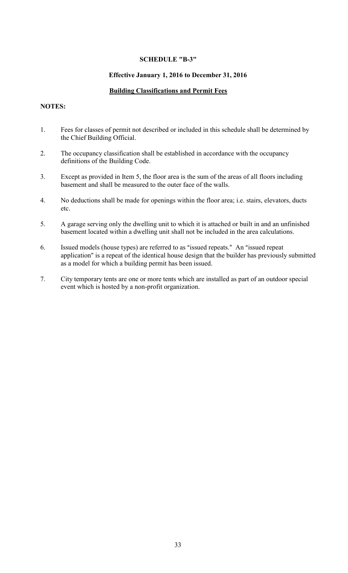## Effective January 1, 2016 to December 31, 2016

## Building Classifications and Permit Fees

# NOTES:

- 1. Fees for classes of permit not described or included in this schedule shall be determined by the Chief Building Official.
- 2. The occupancy classification shall be established in accordance with the occupancy definitions of the Building Code.
- 3. Except as provided in Item 5, the floor area is the sum of the areas of all floors including basement and shall be measured to the outer face of the walls.
- 4. No deductions shall be made for openings within the floor area; i.e. stairs, elevators, ducts etc.
- 5. A garage serving only the dwelling unit to which it is attached or built in and an unfinished basement located within a dwelling unit shall not be included in the area calculations.
- 6. Issued models (house types) are referred to as "issued repeats." An "issued repeat application" is a repeat of the identical house design that the builder has previously submitted as a model for which a building permit has been issued.
- 7. City temporary tents are one or more tents which are installed as part of an outdoor special event which is hosted by a non-profit organization.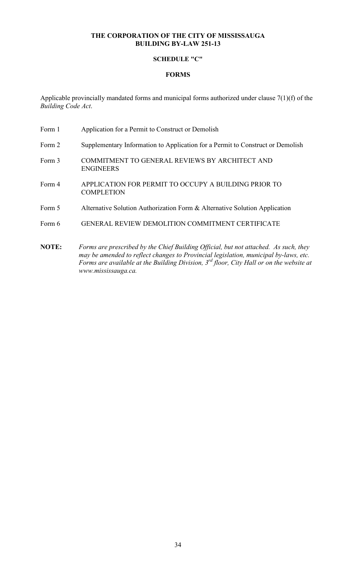## SCHEDULE "C"

## FORMS

Applicable provincially mandated forms and municipal forms authorized under clause 7(1)(f) of the Building Code Act.

- Form 1 Application for a Permit to Construct or Demolish
- Form 2 Supplementary Information to Application for a Permit to Construct or Demolish
- Form 3 COMMITMENT TO GENERAL REVIEWS BY ARCHITECT AND ENGINEERS
- Form 4 APPLICATION FOR PERMIT TO OCCUPY A BUILDING PRIOR TO **COMPLETION**
- Form 5 Alternative Solution Authorization Form & Alternative Solution Application
- Form 6 GENERAL REVIEW DEMOLITION COMMITMENT CERTIFICATE
- NOTE: Forms are prescribed by the Chief Building Official, but not attached. As such, they may be amended to reflect changes to Provincial legislation, municipal by-laws, etc. Forms are available at the Building Division,  $3^{rd}$  floor, City Hall or on the website at www.mississauga.ca.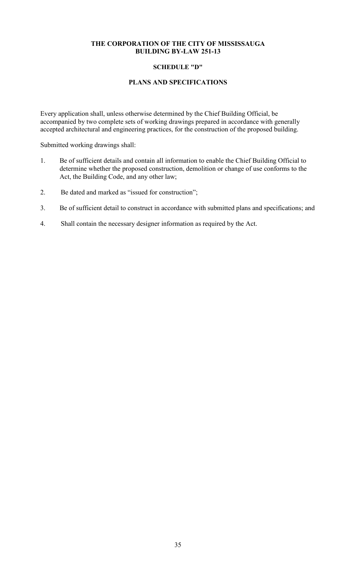## SCHEDULE "D"

## PLANS AND SPECIFICATIONS

Every application shall, unless otherwise determined by the Chief Building Official, be accompanied by two complete sets of working drawings prepared in accordance with generally accepted architectural and engineering practices, for the construction of the proposed building.

Submitted working drawings shall:

- 1. Be of sufficient details and contain all information to enable the Chief Building Official to determine whether the proposed construction, demolition or change of use conforms to the Act, the Building Code, and any other law;
- 2. Be dated and marked as "issued for construction";
- 3. Be of sufficient detail to construct in accordance with submitted plans and specifications; and
- 4. Shall contain the necessary designer information as required by the Act.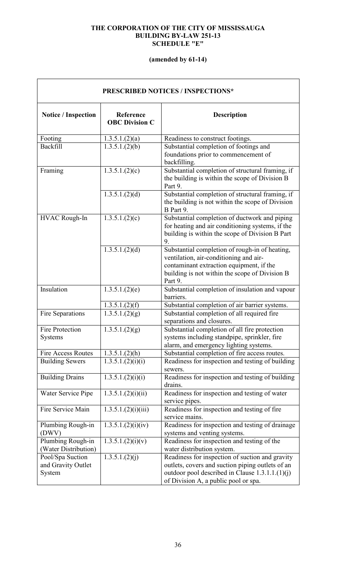## THE CORPORATION OF THE CITY OF MISSISSAUGA BUILDING BY-LAW 251-13 SCHEDULE "E"

# (amended by 61-14)

| <b>PRESCRIBED NOTICES / INSPECTIONS*</b>         |                                    |                                                                                                                                                                                                   |  |  |  |
|--------------------------------------------------|------------------------------------|---------------------------------------------------------------------------------------------------------------------------------------------------------------------------------------------------|--|--|--|
| <b>Notice / Inspection</b>                       | Reference<br><b>OBC Division C</b> | <b>Description</b>                                                                                                                                                                                |  |  |  |
| Footing                                          | 1.3.5.1.(2)(a)                     | Readiness to construct footings.                                                                                                                                                                  |  |  |  |
| Backfill                                         | 1.3.5.1.(2)(b)                     | Substantial completion of footings and<br>foundations prior to commencement of<br>backfilling.                                                                                                    |  |  |  |
| Framing                                          | 1.3.5.1(2)(c)                      | Substantial completion of structural framing, if<br>the building is within the scope of Division B<br>Part 9.                                                                                     |  |  |  |
|                                                  | 1.3.5.1.(2)(d)                     | Substantial completion of structural framing, if<br>the building is not within the scope of Division<br>B Part 9.                                                                                 |  |  |  |
| <b>HVAC Rough-In</b>                             | 1.3.5.1(2)(c)                      | Substantial completion of ductwork and piping<br>for heating and air conditioning systems, if the<br>building is within the scope of Division B Part<br>9.                                        |  |  |  |
|                                                  | 1.3.5.1.(2)(d)                     | Substantial completion of rough-in of heating,<br>ventilation, air-conditioning and air-<br>contaminant extraction equipment, if the<br>building is not within the scope of Division B<br>Part 9. |  |  |  |
| Insulation                                       | 1.3.5.1(2)(e)                      | Substantial completion of insulation and vapour<br>barriers.                                                                                                                                      |  |  |  |
|                                                  | 1.3.5.1(2)(f)                      | Substantial completion of air barrier systems.                                                                                                                                                    |  |  |  |
| Fire Separations                                 | 1.3.5.1(2)(g)                      | Substantial completion of all required fire<br>separations and closures.                                                                                                                          |  |  |  |
| <b>Fire Protection</b><br>Systems                | 1.3.5.1.(2)(g)                     | Substantial completion of all fire protection<br>systems including standpipe, sprinkler, fire<br>alarm, and emergency lighting systems.                                                           |  |  |  |
| <b>Fire Access Routes</b>                        | 1.3.5.1.(2)(h)                     | Substantial completion of fire access routes.                                                                                                                                                     |  |  |  |
| <b>Building Sewers</b>                           | 1.3.5.1.(2)(i)(i)                  | Readiness for inspection and testing of building<br>sewers.                                                                                                                                       |  |  |  |
| <b>Building Drains</b>                           | 1.3.5.1.(2)(i)(i)                  | Readiness for inspection and testing of building<br>drains.                                                                                                                                       |  |  |  |
| Water Service Pipe                               | 1.3.5.1.(2)(i)(ii)                 | Readiness for inspection and testing of water<br>service pipes.                                                                                                                                   |  |  |  |
| Fire Service Main                                | 1.3.5.1.(2)(i)(iii)                | Readiness for inspection and testing of fire<br>service mains.                                                                                                                                    |  |  |  |
| Plumbing Rough-in<br>(DWV)                       | 1.3.5.1.(2)(i)(iv)                 | Readiness for inspection and testing of drainage<br>systems and venting systems.                                                                                                                  |  |  |  |
| Plumbing Rough-in<br>(Water Distribution)        | 1.3.5.1.(2)(i)(v)                  | Readiness for inspection and testing of the<br>water distribution system.                                                                                                                         |  |  |  |
| Pool/Spa Suction<br>and Gravity Outlet<br>System | 1.3.5.1.(2)(j)                     | Readiness for inspection of suction and gravity<br>outlets, covers and suction piping outlets of an<br>outdoor pool described in Clause $1.3.1.1.(1)(j)$<br>of Division A, a public pool or spa.  |  |  |  |